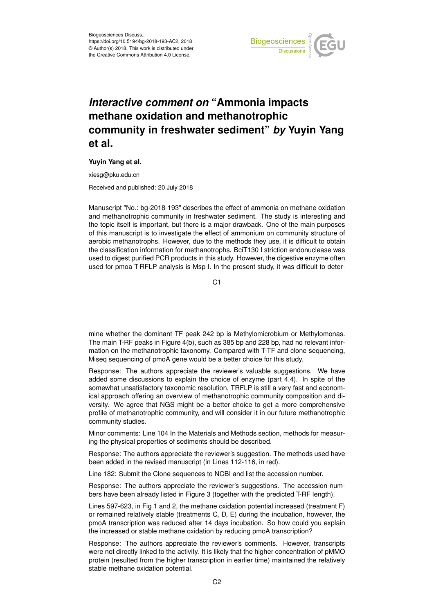

## *Interactive comment on* **"Ammonia impacts methane oxidation and methanotrophic community in freshwater sediment"** *by* **Yuyin Yang et al.**

## **Yuyin Yang et al.**

xiesg@pku.edu.cn

Received and published: 20 July 2018

Manuscript "No.: bg-2018-193" describes the effect of ammonia on methane oxidation and methanotrophic community in freshwater sediment. The study is interesting and the topic itself is important, but there is a major drawback. One of the main purposes of this manuscript is to investigate the effect of ammonium on community structure of aerobic methanotrophs. However, due to the methods they use, it is difficult to obtain the classification information for methanotrophs. BciT130 I striction endonuclease was used to digest purified PCR products in this study. However, the digestive enzyme often used for pmoa T-RFLP analysis is Msp I. In the present study, it was difficult to deter-

C1

mine whether the dominant TF peak 242 bp is Methylomicrobium or Methylomonas. The main T-RF peaks in Figure 4(b), such as 385 bp and 228 bp, had no relevant information on the methanotrophic taxonomy. Compared with T-TF and clone sequencing, Miseq sequencing of pmoA gene would be a better choice for this study.

Response: The authors appreciate the reviewer's valuable suggestions. We have added some discussions to explain the choice of enzyme (part 4.4). In spite of the somewhat unsatisfactory taxonomic resolution, TRFLP is still a very fast and economical approach offering an overview of methanotrophic community composition and diversity. We agree that NGS might be a better choice to get a more comprehensive profile of methanotrophic community, and will consider it in our future methanotrophic community studies.

Minor comments: Line 104 In the Materials and Methods section, methods for measuring the physical properties of sediments should be described.

Response: The authors appreciate the reviewer's suggestion. The methods used have been added in the revised manuscript (in Lines 112-116, in red).

Line 182: Submit the Clone sequences to NCBI and list the accession number.

Response: The authors appreciate the reviewer's suggestions. The accession numbers have been already listed in Figure 3 (together with the predicted T-RF length).

Lines 597-623, in Fig 1 and 2, the methane oxidation potential increased (treatment F) or remained relatively stable (treatments C, D, E) during the incubation, however, the pmoA transcription was reduced after 14 days incubation. So how could you explain the increased or stable methane oxidation by reducing pmoA transcription?

Response: The authors appreciate the reviewer's comments. However, transcripts were not directly linked to the activity. It is likely that the higher concentration of pMMO protein (resulted from the higher transcription in earlier time) maintained the relatively stable methane oxidation potential.